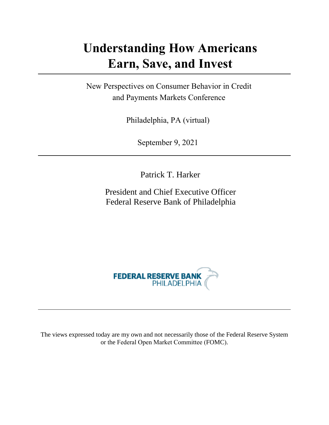## **Understanding How Americans Earn, Save, and Invest**

New Perspectives on Consumer Behavior in Credit and Payments Markets Conference

Philadelphia, PA (virtual)

September 9, 2021

Patrick T. Harker

President and Chief Executive Officer Federal Reserve Bank of Philadelphia



The views expressed today are my own and not necessarily those of the Federal Reserve System or the Federal Open Market Committee (FOMC).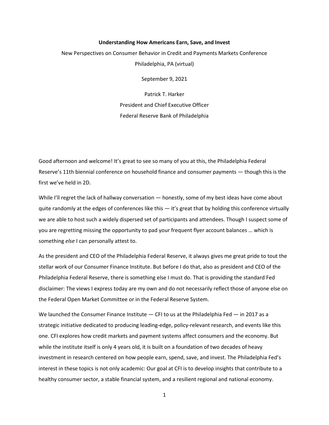## **Understanding How Americans Earn, Save, and Invest**

New Perspectives on Consumer Behavior in Credit and Payments Markets Conference Philadelphia, PA (virtual)

September 9, 2021

Patrick T. Harker President and Chief Executive Officer Federal Reserve Bank of Philadelphia

Good afternoon and welcome! It's great to see so many of you at this, the Philadelphia Federal Reserve's 11th biennial conference on household finance and consumer payments — though this is the first we've held in 2D.

While I'll regret the lack of hallway conversation — honestly, some of my best ideas have come about quite randomly at the edges of conferences like this — it's great that by holding this conference virtually we are able to host such a widely dispersed set of participants and attendees. Though I suspect some of you are regretting missing the opportunity to pad your frequent flyer account balances … which is something *else* I can personally attest to.

As the president and CEO of the Philadelphia Federal Reserve, it always gives me great pride to tout the stellar work of our Consumer Finance Institute. But before I do that, also as president and CEO of the Philadelphia Federal Reserve, there is something else I must do. That is providing the standard Fed disclaimer: The views I express today are my own and do not necessarily reflect those of anyone else on the Federal Open Market Committee or in the Federal Reserve System.

We launched the Consumer Finance Institute  $-$  CFI to us at the Philadelphia Fed  $-$  in 2017 as a strategic initiative dedicated to producing leading-edge, policy-relevant research, and events like this one. CFI explores how credit markets and payment systems affect consumers and the economy. But while the institute itself is only 4 years old, it is built on a foundation of two decades of heavy investment in research centered on how people earn, spend, save, and invest. The Philadelphia Fed's interest in these topics is not only academic: Our goal at CFI is to develop insights that contribute to a healthy consumer sector, a stable financial system, and a resilient regional and national economy.

1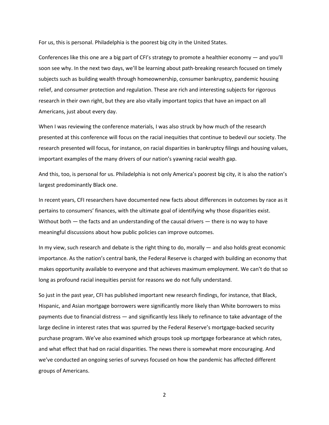For us, this is personal. Philadelphia is the poorest big city in the United States.

Conferences like this one are a big part of CFI's strategy to promote a healthier economy — and you'll soon see why. In the next two days, we'll be learning about path-breaking research focused on timely subjects such as building wealth through homeownership, consumer bankruptcy, pandemic housing relief, and consumer protection and regulation. These are rich and interesting subjects for rigorous research in their own right, but they are also vitally important topics that have an impact on all Americans, just about every day.

When I was reviewing the conference materials, I was also struck by how much of the research presented at this conference will focus on the racial inequities that continue to bedevil our society. The research presented will focus, for instance, on racial disparities in bankruptcy filings and housing values, important examples of the many drivers of our nation's yawning racial wealth gap.

And this, too, is personal for us. Philadelphia is not only America's poorest big city, it is also the nation's largest predominantly Black one.

In recent years, CFI researchers have documented new facts about differences in outcomes by race as it pertains to consumers' finances, with the ultimate goal of identifying why those disparities exist. Without both — the facts and an understanding of the causal drivers — there is no way to have meaningful discussions about how public policies can improve outcomes.

In my view, such research and debate is the right thing to do, morally  $-$  and also holds great economic importance. As the nation's central bank, the Federal Reserve is charged with building an economy that makes opportunity available to everyone and that achieves maximum employment. We can't do that so long as profound racial inequities persist for reasons we do not fully understand.

So just in the past year, CFI has published important new research findings, for instance, that Black, Hispanic, and Asian mortgage borrowers were significantly more likely than White borrowers to miss payments due to financial distress — and significantly less likely to refinance to take advantage of the large decline in interest rates that was spurred by the Federal Reserve's mortgage-backed security purchase program. We've also examined which groups took up mortgage forbearance at which rates, and what effect that had on racial disparities. The news there is somewhat more encouraging. And we've conducted an ongoing series of surveys focused on how the pandemic has affected different groups of Americans.

2